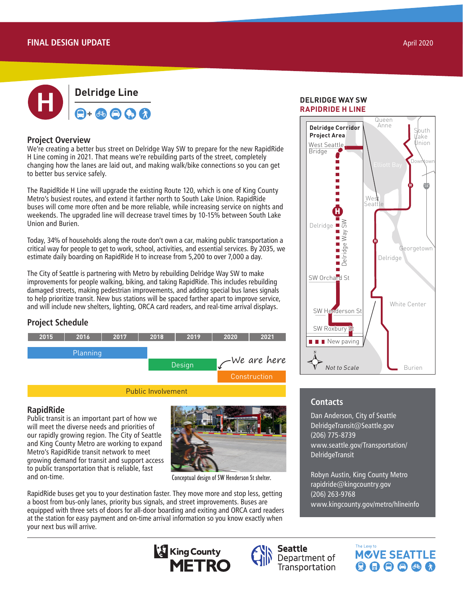

### **Project Overview**

We're creating a better bus street on Delridge Way SW to prepare for the new RapidRide H Line coming in 2021. That means we're rebuilding parts of the street, completely changing how the lanes are laid out, and making walk/bike connections so you can get to better bus service safely.

The RapidRide H Line will upgrade the existing Route 120, which is one of King County Metro's busiest routes, and extend it farther north to South Lake Union. RapidRide buses will come more often and be more reliable, while increasing service on nights and weekends. The upgraded line will decrease travel times by 10-15% between South Lake Union and Burien.

Today, 34% of households along the route don't own a car, making public transportation a critical way for people to get to work, school, activities, and essential services. By 2035, we estimate daily boarding on RapidRide H to increase from 5,200 to over 7,000 a day.

The City of Seattle is partnering with Metro by rebuilding Delridge Way SW to make improvements for people walking, biking, and taking RapidRide. This includes rebuilding damaged streets, making pedestrian improvements, and adding special bus lanes signals to help prioritize transit. New bus stations will be spaced farther apart to improve service, and will include new shelters, lighting, ORCA card readers, and real-time arrival displays.

### **Project Schedule**



### **RapidRide**

Public transit is an important part of how we will meet the diverse needs and priorities of our rapidly growing region. The City of Seattle and King County Metro are working to expand Metro's RapidRide transit network to meet growing demand for transit and support access to public transportation that is reliable, fast and on-time.



Conceptual design of SW Henderson St shelter.

RapidRide buses get you to your destination faster. They move more and stop less, getting a boost from bus-only lanes, priority bus signals, and street improvements. Buses are equipped with three sets of doors for all-door boarding and exiting and ORCA card readers at the station for easy payment and on-time arrival information so you know exactly when your next bus will arrive.

### Downtown Seattle to Delridge to Burien **RAPIDRIDE H LINE DELRIDGE WAY SW**



# **Contacts**

 $K_{\rm eff}$  Connection  $\mathcal{E}$ 

Link Light Rail Seattle Streetcar **Dan Anderson, City of Seattle Transit Connection**<br>Note to DelridgeTransit@Seattle.gov Data Sources: City of Seattle, King County (206) 775-8739 www.seattle.gov/Transportation/ DelridgeTransit

RapidRide

Robyn Austin, King County Metro rapidride@kingcountry.gov (206) 263-9768 www.kingcounty.gov/metro/hlineinfo

The Levy to

**MCVE SEATTLE** 

 $\mathbf{\Theta} \mathbf{\Theta} \mathbf{\Theta} \mathbf{\Theta}$  as a